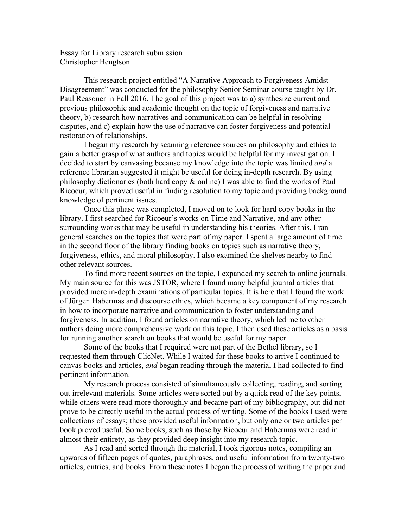Essay for Library research submission Christopher Bengtson

This research project entitled "A Narrative Approach to Forgiveness Amidst Disagreement" was conducted for the philosophy Senior Seminar course taught by Dr. Paul Reasoner in Fall 2016. The goal of this project was to a) synthesize current and previous philosophic and academic thought on the topic of forgiveness and narrative theory, b) research how narratives and communication can be helpful in resolving disputes, and c) explain how the use of narrative can foster forgiveness and potential restoration of relationships.

I began my research by scanning reference sources on philosophy and ethics to gain a better grasp of what authors and topics would be helpful for my investigation. I decided to start by canvasing because my knowledge into the topic was limited *and* a reference librarian suggested it might be useful for doing in-depth research. By using philosophy dictionaries (both hard copy & online) I was able to find the works of Paul Ricoeur, which proved useful in finding resolution to my topic and providing background knowledge of pertinent issues.

Once this phase was completed, I moved on to look for hard copy books in the library. I first searched for Ricoeur's works on Time and Narrative, and any other surrounding works that may be useful in understanding his theories. After this, I ran general searches on the topics that were part of my paper. I spent a large amount of time in the second floor of the library finding books on topics such as narrative theory, forgiveness, ethics, and moral philosophy. I also examined the shelves nearby to find other relevant sources.

To find more recent sources on the topic, I expanded my search to online journals. My main source for this was JSTOR, where I found many helpful journal articles that provided more in-depth examinations of particular topics. It is here that I found the work of Jürgen Habermas and discourse ethics, which became a key component of my research in how to incorporate narrative and communication to foster understanding and forgiveness. In addition, I found articles on narrative theory, which led me to other authors doing more comprehensive work on this topic. I then used these articles as a basis for running another search on books that would be useful for my paper.

Some of the books that I required were not part of the Bethel library, so I requested them through ClicNet. While I waited for these books to arrive I continued to canvas books and articles, *and* began reading through the material I had collected to find pertinent information.

My research process consisted of simultaneously collecting, reading, and sorting out irrelevant materials. Some articles were sorted out by a quick read of the key points, while others were read more thoroughly and became part of my bibliography, but did not prove to be directly useful in the actual process of writing. Some of the books I used were collections of essays; these provided useful information, but only one or two articles per book proved useful. Some books, such as those by Ricoeur and Habermas were read in almost their entirety, as they provided deep insight into my research topic.

As I read and sorted through the material, I took rigorous notes, compiling an upwards of fifteen pages of quotes, paraphrases, and useful information from twenty-two articles, entries, and books. From these notes I began the process of writing the paper and